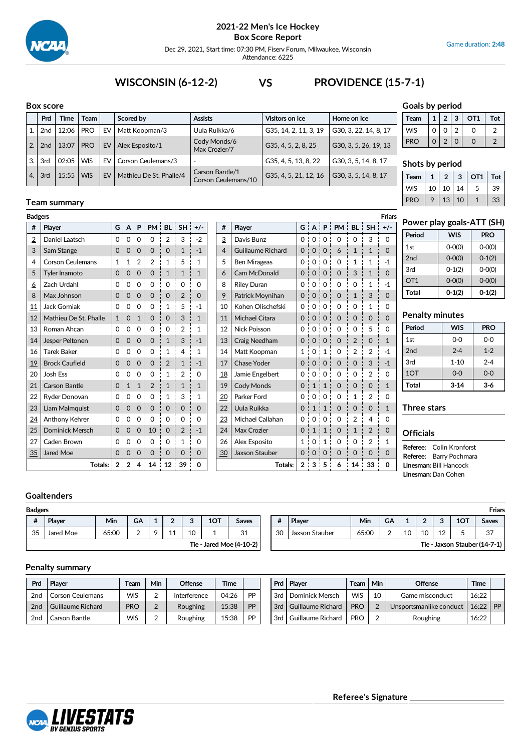

Dec 29, 2021, Start time: 07:30 PM, Fiserv Forum, Milwaukee, Wisconsin Attendance: 6225

#### **Box score Prd Time Team Scored by Assists Visitors** on ice **Home** on ice 1. 2nd 12:06 PRO EV Matt Koopman/3 Uula Ruikka/6 G35, 14, 2, 11, 3, 19 G30, 3, 22, 14, 8, 17 2.  $2nd \mid 13:07 \mid PRO \mid EV \mid Alex Esposito/1$ Cody Monds/6 Max Crozier/7 G35, 4, 5, 2, 8, 25 G30, 3, 5, 26, 19, 13 3. 3rd 02:05 WIS EV Corson Ceulemans/3 - G35, 4, 5, 13, 8, 22 G30, 3, 5, 14, 8, 17 4. 3rd 15:55 WIS EV Mathieu De St. Phalle/4 Carson Bantle/1 Corson Ceulemans/10 G35, 4, 5, 21, 12, 16 G30, 3, 5, 14, 8, 17

# **WISCONSIN (6-12-2) VS PROVIDENCE (15-7-1)**

# **Goals by period**

| Team       |          | 2 3           |   | OT <sub>1</sub> | Tot |
|------------|----------|---------------|---|-----------------|-----|
| <b>WIS</b> | 0        | O             | 2 |                 |     |
| <b>PRO</b> | $\Omega$ | $\mathcal{P}$ | 0 | Ω               |     |

# **Shots by period**

| Team       |                 | 2     | 3          | OT <sub>1</sub> | Tot |
|------------|-----------------|-------|------------|-----------------|-----|
| <b>WIS</b> | 10 <sup>1</sup> | 10    | $\vert$ 14 | 5               | 39  |
| PRO        | 9               | 13 10 |            |                 | 33  |

# **Team summary**

| <b>Badgers</b>  | Friars                 |            |                |                          |                                     |                |                |              |  |    |                          |              |                   |                  |                                 |                |                |              |   |
|-----------------|------------------------|------------|----------------|--------------------------|-------------------------------------|----------------|----------------|--------------|--|----|--------------------------|--------------|-------------------|------------------|---------------------------------|----------------|----------------|--------------|---|
| #               | Player                 |            |                |                          | $G$ $A$ $P$ $P$ $M$ $BL$ $SH$ $+/-$ |                |                |              |  | #  | Player                   |              |                   |                  | $G$ $A$ $P$ $PM$ $BL$ $SH$ $+/$ |                |                |              |   |
| $\overline{2}$  | Daniel Laatsch         |            |                | 0.0.01                   | $\mathbf 0$                         | $\overline{2}$ | 3              | $-2$         |  | 3  | Davis Bunz               |              | 0:0:0:            |                  | $\mathbf 0$                     | $\mathbf 0$    | 3              | $\Omega$     |   |
| 3               | Sam Stange             |            | 0 <sub>0</sub> | $\mathbf 0$              | $\mathbf 0$                         | 0              | 1              | $-1$         |  | 4  | <b>Guillaume Richard</b> |              | 0:0:0:            |                  | 6                               | $\mathbf{1}$   | $\mathbf{1}$   | $\Omega$     |   |
| 4               | Corson Ceulemans       |            | 1:             | 2:                       | $\overline{2}$                      | $\mathbf{1}$   | 5              | 1            |  | 5  | <b>Ben Mirageas</b>      | 0:           |                   | 0:0:             | $\Omega$                        | $\mathbf{1}$   | 1              | $-1$         |   |
| 5               | <b>Tyler Inamoto</b>   | $\Omega$ : | $\Omega$       | 0                        | 0<br>٠                              | $\mathbf{1}$   | 1              | $\mathbf{1}$ |  | 6  | Cam McDonald             | 0:           | $\mathbf{0}$<br>÷ | $\mathbf 0$      | $\Omega$                        | 3              |                | $\Omega$     |   |
| <u>6</u>        | Zach Urdahl            |            |                | 0.0.0:                   | $\mathbf 0$                         | 0              | 0              | $\Omega$     |  | 8  | <b>Riley Duran</b>       |              | 0:0:0:            |                  | 0                               | $\mathbf 0$    | 1              | $-1$         |   |
| 8               | Max Johnson            |            | 0:0            | $\Omega$<br>$\mathbf{I}$ | $\Omega$                            | $\mathbf 0$    | $\overline{2}$ | $\Omega$     |  | 9  | Patrick Moynihan         | 0:           | 0:                | $\Omega$         | $\Omega$                        | $\mathbf{1}$   | 3              | $\Omega$     |   |
| 11              | <b>Jack Gorniak</b>    |            |                | 0:0:0:                   | 0                                   | 1              | 5              | $-1$         |  | 10 | Kohen Olischefski        |              | 0:0:0             |                  | 0                               | 0              | 1              | $\Omega$     |   |
| 12              | Mathieu De St. Phalle  |            | $\Omega$       | $\mathbf{1}$             | $\mathbf 0$<br>٠                    | $\mathbf 0$    | 3              | $\mathbf{1}$ |  | 11 | <b>Michael Citara</b>    | 0:           | $\mathbf{0}$<br>÷ | $\mathbf 0$      | $\mathbf 0$                     | $\mathbf 0$    | $\Omega$       | $\Omega$     | Р |
| 13              | Roman Ahcan            |            | 0:0            | 0:                       | $\Omega$                            | $\Omega$       | $\overline{2}$ | 1            |  | 12 | Nick Poisson             | 0:           | 0:                | $\Omega$         | $\Omega$                        | $\Omega$       | 5              | 0            |   |
| 14              | Jesper Peltonen        |            | 0:0:0          |                          | $\mathbf 0$                         | 1              | 3              | $-1$         |  | 13 | Craig Needham            | 0:           | 0:0               |                  | $\mathbf 0$                     | $\overline{2}$ | 0              | $\mathbf{1}$ |   |
| 16              | <b>Tarek Baker</b>     | 0          | 0              | 0                        | 0                                   | $\mathbf{1}$   | $\overline{4}$ | $\mathbf{1}$ |  | 14 | Matt Koopman             | $\mathbf{1}$ | $\mathbf 0$<br>٠  | $\mathbf{1}$     | $\Omega$                        | $\overline{2}$ | $\overline{2}$ | $-1$         |   |
| 19              | <b>Brock Caufield</b>  |            | 0:0:           | 0:                       | $\overline{0}$                      | $\overline{2}$ | $\mathbf{1}$   | $-1$         |  | 17 | Chase Yoder              |              | 0:0:0             |                  | $\mathbf 0$                     | $\overline{0}$ | 3              | $-1$         |   |
| 20              | Josh Ess               |            |                | 0.0.0:                   | 0                                   | 1              | 2              | 0            |  | 18 | Jamie Engelbert          |              | $0 \quad 0:$      | 0:               | 0                               | 0              | 2              | $\Omega$     |   |
| 21              | <b>Carson Bantle</b>   | $\Omega$   |                |                          | $\overline{2}$                      | $\mathbf{1}$   | $\mathbf{1}$   | $\mathbf{1}$ |  | 19 | <b>Cody Monds</b>        | 0            |                   | $\mathbf{1}$     | $\Omega$                        | $\mathbf 0$    | $\Omega$       | $\mathbf{1}$ |   |
| 22              | Ryder Donovan          |            | 0:0            | 0                        | 0                                   |                | 3              | 1            |  | 20 | Parker Ford              | 0 :          | $\mathbf 0$<br>÷  | $\mathbf 0$      | 0                               | 1              | 2              | $\Omega$     |   |
| 23              | Liam Malmquist         |            |                | 0:0:0:                   | $\mathbf 0$                         | 0              | $\mathbf 0$    | $\Omega$     |  | 22 | Uula Ruikka              | 0:           |                   | 1:1:             | $\mathbf 0$                     | $\Omega$       | 0              | $\mathbf{1}$ | Т |
| $\overline{24}$ | Anthony Kehrer         |            |                | 0:0:0:                   | 0                                   | 0              | 0              | $\Omega$     |  | 23 | Michael Callahan         |              | 0:0:0:            |                  | 0                               | 2              | 4              | 0            |   |
| 25              | <b>Dominick Mersch</b> | 0:         | $\mathbf 0$    | 0                        | 10<br>٠                             | 0              | $\overline{2}$ | $-1$         |  | 24 | Max Crozier              | 0:           |                   | $\mathbf 1$      | $\Omega$                        | $\mathbf{1}$   | $\overline{2}$ | 0            | C |
| 27              | Caden Brown            |            | 0:0            | 0:                       | $\mathbf 0$                         | 0              | 1              | $\Omega$     |  | 26 | Alex Esposito            | 1:           | 0<br>÷            | 1                | 0                               | 0              | 2              | 1            | R |
| 35              | <b>Jared Moe</b>       |            |                | 0:0:0:                   | $\mathbf 0$                         | $\mathbf 0$    | $\mathbf 0$    | $\Omega$     |  | 30 | <b>Jaxson Stauber</b>    |              | 0:0:              | $\mathbf 0$<br>÷ | $\mathbf 0$                     | $\mathbf 0$    | $\mathbf 0$    | $\Omega$     | R |
|                 | Totals:                |            |                |                          | $2 \t12 \t4 \t14 \t12 \t39$         |                |                | $\mathbf 0$  |  |    | Totals:                  |              | 2:3:5:            |                  | 6                               | 14.            | 33:            | 0            |   |

# **Power play goals-ATT (SH)**

| Period          | <b>WIS</b> | <b>PRO</b> |
|-----------------|------------|------------|
| 1st             | $0 - 0(0)$ | $0 - O(0)$ |
| 2nd             | $0 - 0(0)$ | $0-1(2)$   |
| 3rd             | $0-1(2)$   | $0 - O(0)$ |
| OT <sub>1</sub> | $O-O(O)$   | $O-O(O)$   |
| Total           | $0-1(2)$   | $0 - 1(2)$ |

# **Penalty minutes**

| Period       | <b>WIS</b> | <b>PRO</b> |
|--------------|------------|------------|
| 1st          | $0 - 0$    | $0 - 0$    |
| 2nd          | $2 - 4$    | $1 - 2$    |
| 3rd          | $1 - 10$   | $2 - 4$    |
| 1OT          | $0 - 0$    | $0 - 0$    |
| <b>Total</b> | $3 - 14$   | $3-6$      |

#### **Three stars**

# **Officials**

**Referee:** Colin Kronforst **Referee:** Barry Pochmara **Linesman:**Bill Hancock **Linesman:**Dan Cohen

# **Goaltenders**

| <b>Badgers</b> |                            |            |    |  |            |    |     |       |  |    |                |       |    |    |    |          |                               | <b>Friars</b> |
|----------------|----------------------------|------------|----|--|------------|----|-----|-------|--|----|----------------|-------|----|----|----|----------|-------------------------------|---------------|
|                | Plaver                     | <b>Min</b> | GA |  | $\sqrt{2}$ | ◠  | 1OT | Saves |  |    | Plaver         | Min   | GA |    |    | o        | 1OT                           | Saves         |
| 35             | Jared Moe                  | 65:00      | ◠  |  | <b>. .</b> | 10 |     | 31    |  | 30 | Jaxson Stauber | 65:00 |    | 10 | 10 | 10<br>∸∸ |                               | 37            |
|                | Tie - Jared Moe $(4-10-2)$ |            |    |  |            |    |     |       |  |    |                |       |    |    |    |          | Tie - Jaxson Stauber (14-7-1) |               |

# **Penalty summary**

| Prd             | Player                   | Team       | Min        | Offense      | <b>Time</b> |           | Prd | <b>Player</b>            | <b>Team</b> | <b>Min</b> | <b>Offense</b>          | <b>Time</b> |    |
|-----------------|--------------------------|------------|------------|--------------|-------------|-----------|-----|--------------------------|-------------|------------|-------------------------|-------------|----|
| 2 <sub>nd</sub> | <b>Corson Ceulemans</b>  | <b>WIS</b> | ╭          | Interference | 04:26       | <b>DD</b> | 3rd | Dominick Mersch          | <b>WIS</b>  | 10         | Game misconduct         | 16:22       |    |
| 2nd             | <b>Guillaume Richard</b> | <b>PRO</b> |            | Roughing     | 15:38       | <b>DD</b> | 3rd | <b>Guillaume Richard</b> | <b>PRO</b>  |            | Unsportsmanlike conduct | 16:22       | PP |
| 2nc             | Carson Bantle            | <b>WIS</b> | $\sqrt{2}$ | Roughing     | 15:38       | <b>PP</b> | 3rd | Guillaume Richard        | <b>PRO</b>  |            | Roughing                | 16:22       |    |